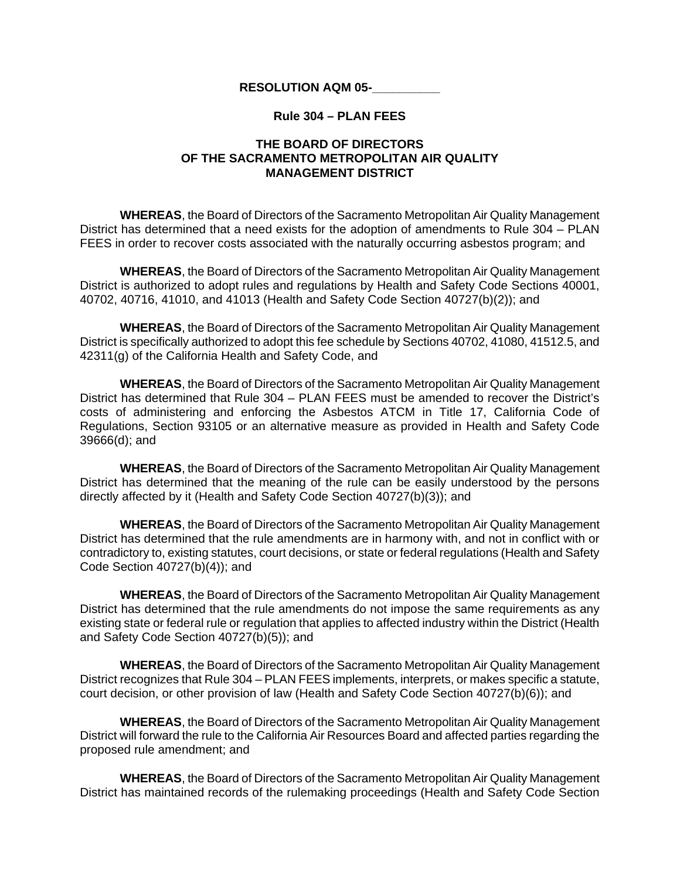## **RESOLUTION AQM 05-\_\_\_\_\_\_\_\_\_\_**

## **Rule 304 – PLAN FEES**

## **THE BOARD OF DIRECTORS OF THE SACRAMENTO METROPOLITAN AIR QUALITY MANAGEMENT DISTRICT**

**WHEREAS**, the Board of Directors of the Sacramento Metropolitan Air Quality Management District has determined that a need exists for the adoption of amendments to Rule 304 – PLAN FEES in order to recover costs associated with the naturally occurring asbestos program; and

**WHEREAS**, the Board of Directors of the Sacramento Metropolitan Air Quality Management District is authorized to adopt rules and regulations by Health and Safety Code Sections 40001, 40702, 40716, 41010, and 41013 (Health and Safety Code Section 40727(b)(2)); and

**WHEREAS**, the Board of Directors of the Sacramento Metropolitan Air Quality Management District is specifically authorized to adopt this fee schedule by Sections 40702, 41080, 41512.5, and 42311(g) of the California Health and Safety Code, and

**WHEREAS**, the Board of Directors of the Sacramento Metropolitan Air Quality Management District has determined that Rule 304 – PLAN FEES must be amended to recover the District's costs of administering and enforcing the Asbestos ATCM in Title 17, California Code of Regulations, Section 93105 or an alternative measure as provided in Health and Safety Code 39666(d); and

**WHEREAS**, the Board of Directors of the Sacramento Metropolitan Air Quality Management District has determined that the meaning of the rule can be easily understood by the persons directly affected by it (Health and Safety Code Section 40727(b)(3)); and

**WHEREAS**, the Board of Directors of the Sacramento Metropolitan Air Quality Management District has determined that the rule amendments are in harmony with, and not in conflict with or contradictory to, existing statutes, court decisions, or state or federal regulations (Health and Safety Code Section 40727(b)(4)); and

**WHEREAS**, the Board of Directors of the Sacramento Metropolitan Air Quality Management District has determined that the rule amendments do not impose the same requirements as any existing state or federal rule or regulation that applies to affected industry within the District (Health and Safety Code Section 40727(b)(5)); and

**WHEREAS**, the Board of Directors of the Sacramento Metropolitan Air Quality Management District recognizes that Rule 304 – PLAN FEES implements, interprets, or makes specific a statute, court decision, or other provision of law (Health and Safety Code Section 40727(b)(6)); and

**WHEREAS**, the Board of Directors of the Sacramento Metropolitan Air Quality Management District will forward the rule to the California Air Resources Board and affected parties regarding the proposed rule amendment; and

**WHEREAS**, the Board of Directors of the Sacramento Metropolitan Air Quality Management District has maintained records of the rulemaking proceedings (Health and Safety Code Section